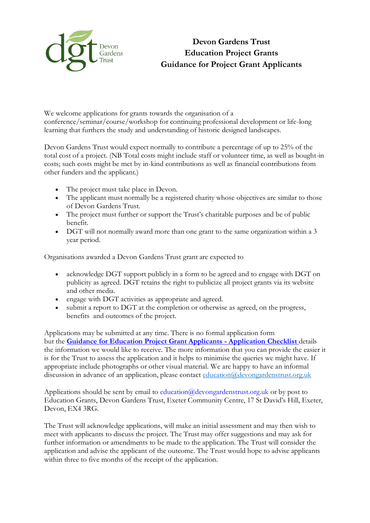

We welcome applications for grants towards the organisation of a conference/seminar/course/workshop for continuing professional development or life-long learning that furthers the study and understanding of historic designed landscapes.

Devon Gardens Trust would expect normally to contribute a percentage of up to 25% of the total cost of a project. (NB Total costs might include staff or volunteer time, as well as bought-in costs; such costs might be met by in-kind contributions as well as financial contributions from other funders and the applicant.)

- The project must take place in Devon.
- The applicant must normally be a registered charity whose objectives are similar to those of Devon Gardens Trust.
- The project must further or support the Trust's charitable purposes and be of public benefit.
- DGT will not normally award more than one grant to the same organization within a 3 year period.

Organisations awarded a Devon Gardens Trust grant are expected to

- acknowledge DGT support publicly in a form to be agreed and to engage with DGT on publicity as agreed. DGT retains the right to publicize all project grants via its website and other media.
- engage with DGT activities as appropriate and agreed.
- submit a report to DGT at the completion or otherwise as agreed, on the progress, benefits and outcomes of the project.

Applications may be submitted at any time. There is no formal application form but the **[Guidance for Education Project Grant Applicants](file://///sites/default/files/content/Education%252520Project%252520Application%252520Checklist.pdf) - Application Checklis[t](file://///sites/default/files/content/Education%252520Project%252520Application%252520Checklist.pdf)** details the information we would like to receive. The more information that you can provide the easier it is for the Trust to assess the application and it helps to minimise the queries we might have. If appropriate include photographs or other visual material. We are happy to have an informal discussion in advance of an application, please contact [education@devongardenstrust.org.uk](mailto:education@devongardenstrust.org.uk)

Applications should be sent by email to education@devongardenstrust.org.uk or by post to Education Grants, Devon Gardens Trust, Exeter Community Centre, 17 St David's Hill, Exeter, Devon, EX4 3RG.

The Trust will acknowledge applications, will make an initial assessment and may then wish to meet with applicants to discuss the project. The Trust may offer suggestions and may ask for further information or amendments to be made to the application. The Trust will consider the application and advise the applicant of the outcome. The Trust would hope to advise applicants within three to five months of the receipt of the application.